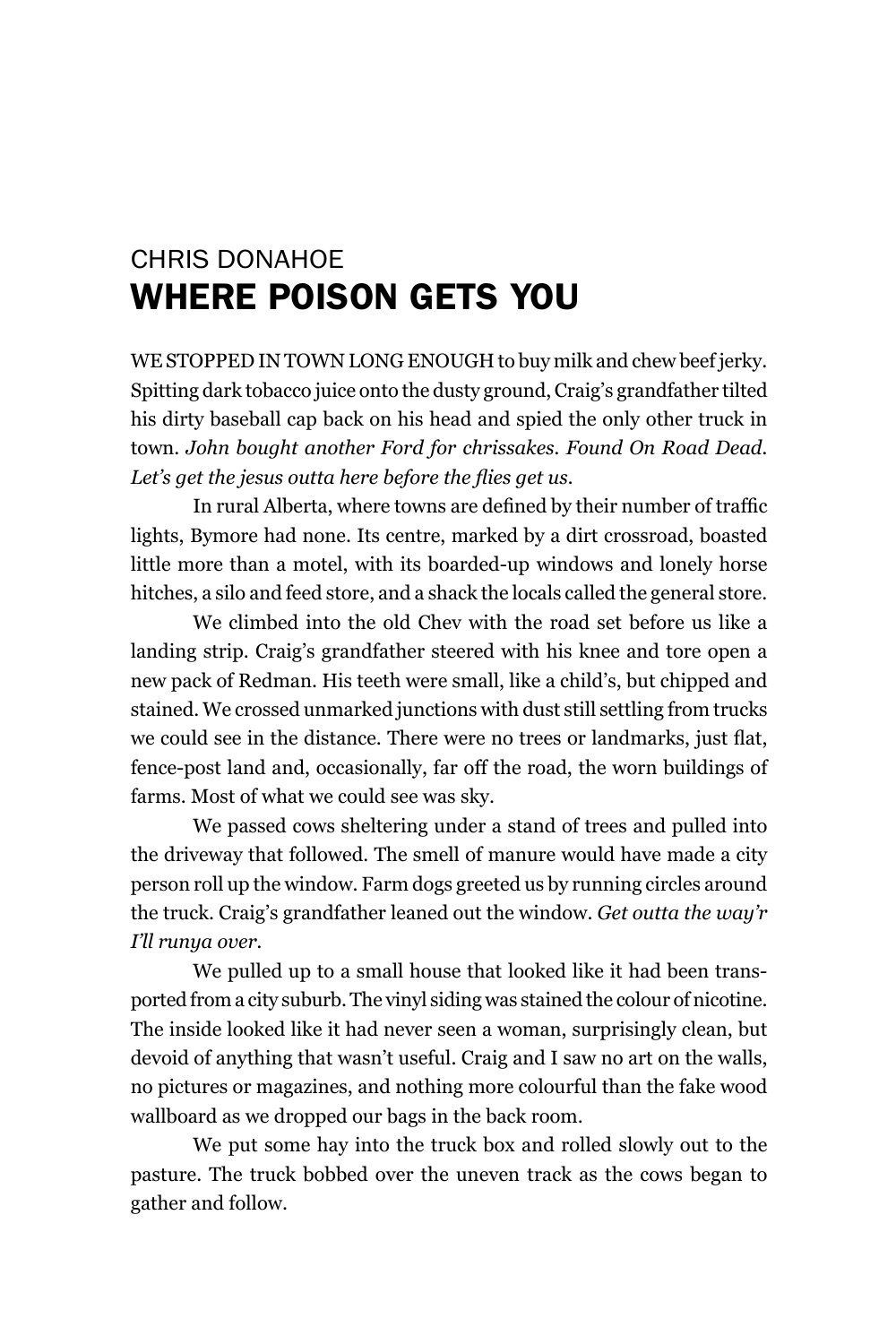## chriS DonAhoE whErE Poison gEts you

WE STOPPED IN TOWN LONG ENOUGH to buy milk and chew beef jerky. Spitting dark tobacco juice onto the dusty ground, Craig's grandfather tilted his dirty baseball cap back on his head and spied the only other truck in town. *John bought another Ford for chrissakes. Found On Road Dead. Let's get the jesus outta here before the flies get us.*

In rural Alberta, where towns are defined by their number of traffic lights, Bymore had none. Its centre, marked by a dirt crossroad, boasted little more than a motel, with its boarded-up windows and lonely horse hitches, a silo and feed store, and a shack the locals called the general store.

We climbed into the old Chev with the road set before us like a landing strip. Craig's grandfather steered with his knee and tore open a new pack of Redman. His teeth were small, like a child's, but chipped and stained. We crossed unmarked junctions with dust still settling from trucks we could see in the distance. There were no trees or landmarks, just flat, fence-post land and, occasionally, far off the road, the worn buildings of farms. Most of what we could see was sky.

We passed cows sheltering under a stand of trees and pulled into the driveway that followed. The smell of manure would have made a city person roll up the window. Farm dogs greeted us by running circles around the truck. Craig's grandfather leaned out the window. *Get outta the way'r I'll runya over.*

We pulled up to a small house that looked like it had been transported from a city suburb. The vinyl siding was stained the colour of nicotine. The inside looked like it had never seen a woman, surprisingly clean, but devoid of anything that wasn't useful. Craig and I saw no art on the walls, no pictures or magazines, and nothing more colourful than the fake wood wallboard as we dropped our bags in the back room.

We put some hay into the truck box and rolled slowly out to the pasture. The truck bobbed over the uneven track as the cows began to gather and follow.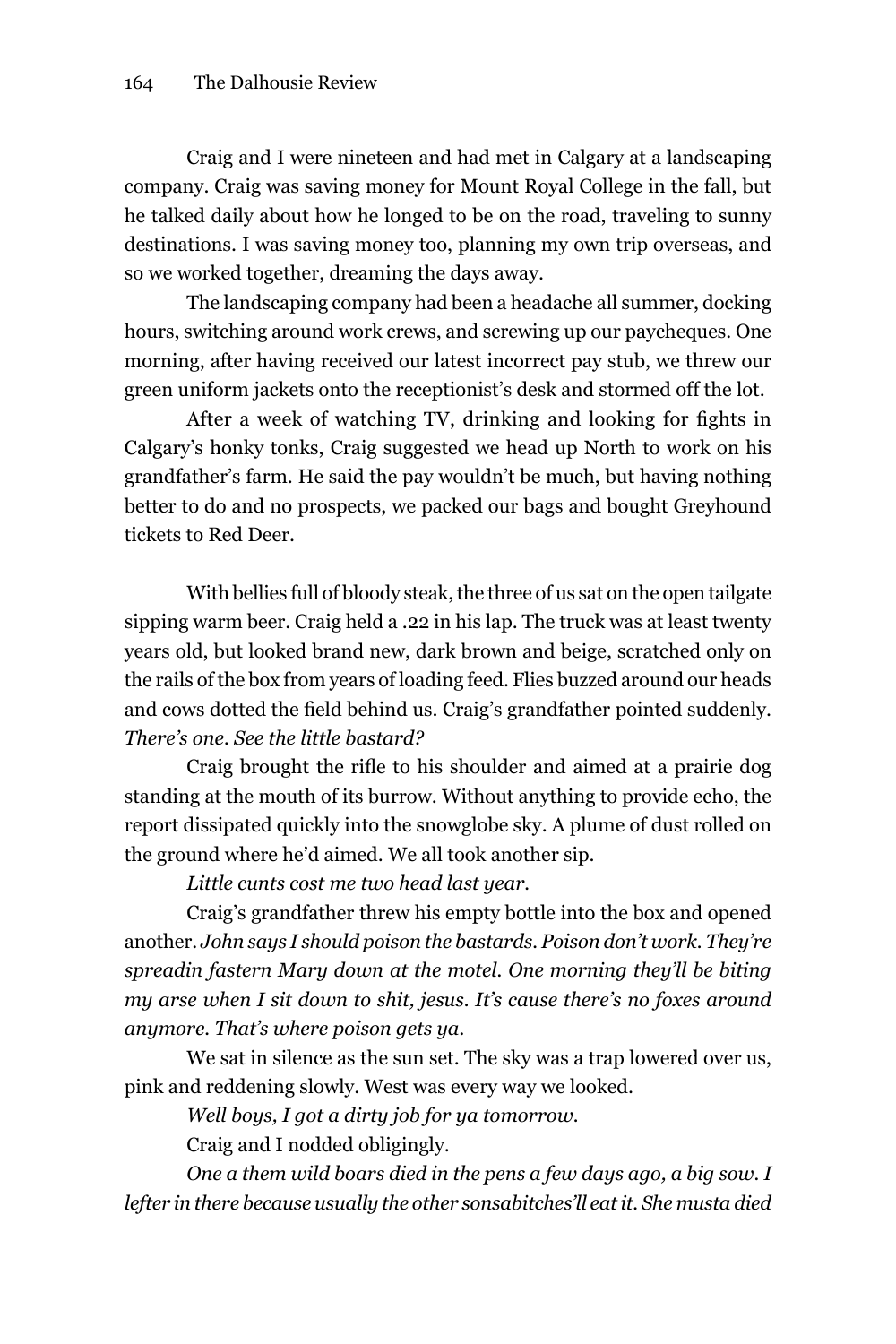Craig and I were nineteen and had met in Calgary at a landscaping company. Craig was saving money for mount Royal College in the fall, but he talked daily about how he longed to be on the road, traveling to sunny destinations. I was saving money too, planning my own trip overseas, and so we worked together, dreaming the days away.

The landscaping company had been a headache all summer, docking hours, switching around work crews, and screwing up our paycheques. One morning, after having received our latest incorrect pay stub, we threw our green uniform jackets onto the receptionist's desk and stormed off the lot.

After a week of watching TV, drinking and looking for fights in Calgary's honky tonks, Craig suggested we head up North to work on his grandfather's farm. He said the pay wouldn't be much, but having nothing better to do and no prospects, we packed our bags and bought Greyhound tickets to Red Deer.

With bellies full of bloody steak, the three of us sat on the open tailgate sipping warm beer. Craig held a .22 in his lap. The truck was at least twenty years old, but looked brand new, dark brown and beige, scratched only on the rails of the box from years of loading feed. Flies buzzed around our heads and cows dotted the field behind us. Craig's grandfather pointed suddenly. *There's one. See the little bastard?*

Craig brought the rifle to his shoulder and aimed at a prairie dog standing at the mouth of its burrow. Without anything to provide echo, the report dissipated quickly into the snowglobe sky. A plume of dust rolled on the ground where he'd aimed. We all took another sip.

*Little cunts cost me two head last year.* 

Craig's grandfather threw his empty bottle into the box and opened another. *John says I should poison the bastards. Poison don't work. They're spreadin fastern Mary down at the motel. One morning they'll be biting my arse when I sit down to shit, jesus. It's cause there's no foxes around anymore. That's where poison gets ya.*

We sat in silence as the sun set. The sky was a trap lowered over us, pink and reddening slowly. West was every way we looked.

*Well boys, I got a dirty job for ya tomorrow.*

Craig and I nodded obligingly.

*One a them wild boars died in the pens a few days ago, a big sow. I lefter in there because usually the other sonsabitches'll eat it. She musta died*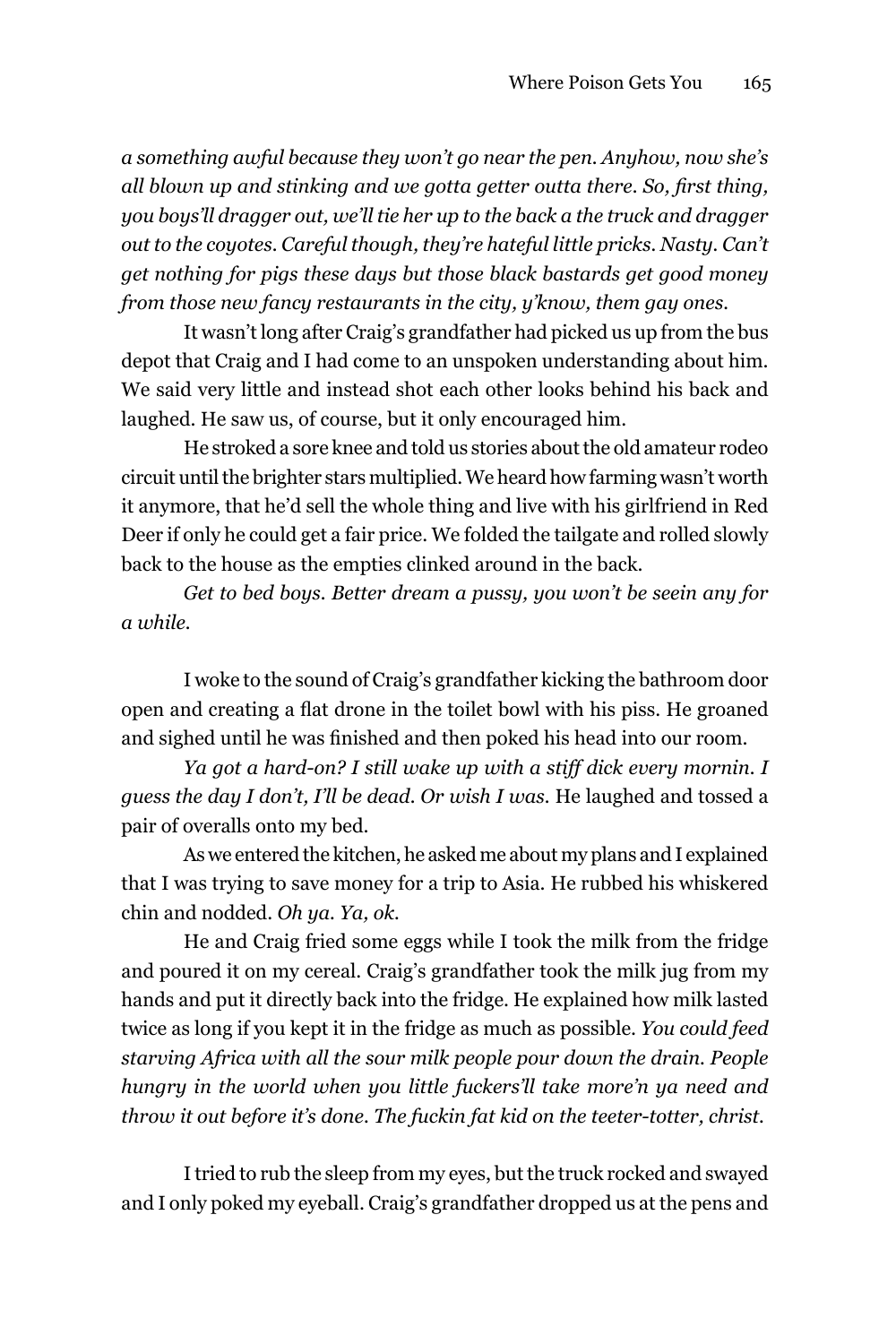*a something awful because they won't go near the pen. Anyhow, now she's all blown up and stinking and we gotta getter outta there. So, first thing, you boys'll dragger out, we'll tie her up to the back a the truck and dragger out to the coyotes. Careful though, they're hateful little pricks. Nasty. Can't get nothing for pigs these days but those black bastards get good money from those new fancy restaurants in the city, y'know, them gay ones.*

It wasn't long after Craig's grandfather had picked us up from the bus depot that Craig and I had come to an unspoken understanding about him. We said very little and instead shot each other looks behind his back and laughed. He saw us, of course, but it only encouraged him.

he stroked a sore knee and told us stories about the old amateur rodeo circuit until the brighter stars multiplied. We heard how farming wasn't worth it anymore, that he'd sell the whole thing and live with his girlfriend in Red Deer if only he could get a fair price. We folded the tailgate and rolled slowly back to the house as the empties clinked around in the back.

*Get to bed boys. Better dream a pussy, you won't be seein any for a while.*

I woke to the sound of Craig's grandfather kicking the bathroom door open and creating a flat drone in the toilet bowl with his piss. He groaned and sighed until he was finished and then poked his head into our room.

*Ya got a hard-on? I still wake up with a stiff dick every mornin. I guess the day I don't, I'll be dead. Or wish I was.* he laughed and tossed a pair of overalls onto my bed.

As we entered the kitchen, he asked me about my plans and I explained that I was trying to save money for a trip to Asia. he rubbed his whiskered chin and nodded. *Oh ya. Ya, ok.*

he and Craig fried some eggs while I took the milk from the fridge and poured it on my cereal. Craig's grandfather took the milk jug from my hands and put it directly back into the fridge. He explained how milk lasted twice as long if you kept it in the fridge as much as possible. *You could feed starving Africa with all the sour milk people pour down the drain. People hungry in the world when you little fuckers'll take more'n ya need and throw it out before it's done. The fuckin fat kid on the teeter-totter, christ.*

I tried to rub the sleep from my eyes, but the truck rocked and swayed and I only poked my eyeball. Craig's grandfather dropped us at the pens and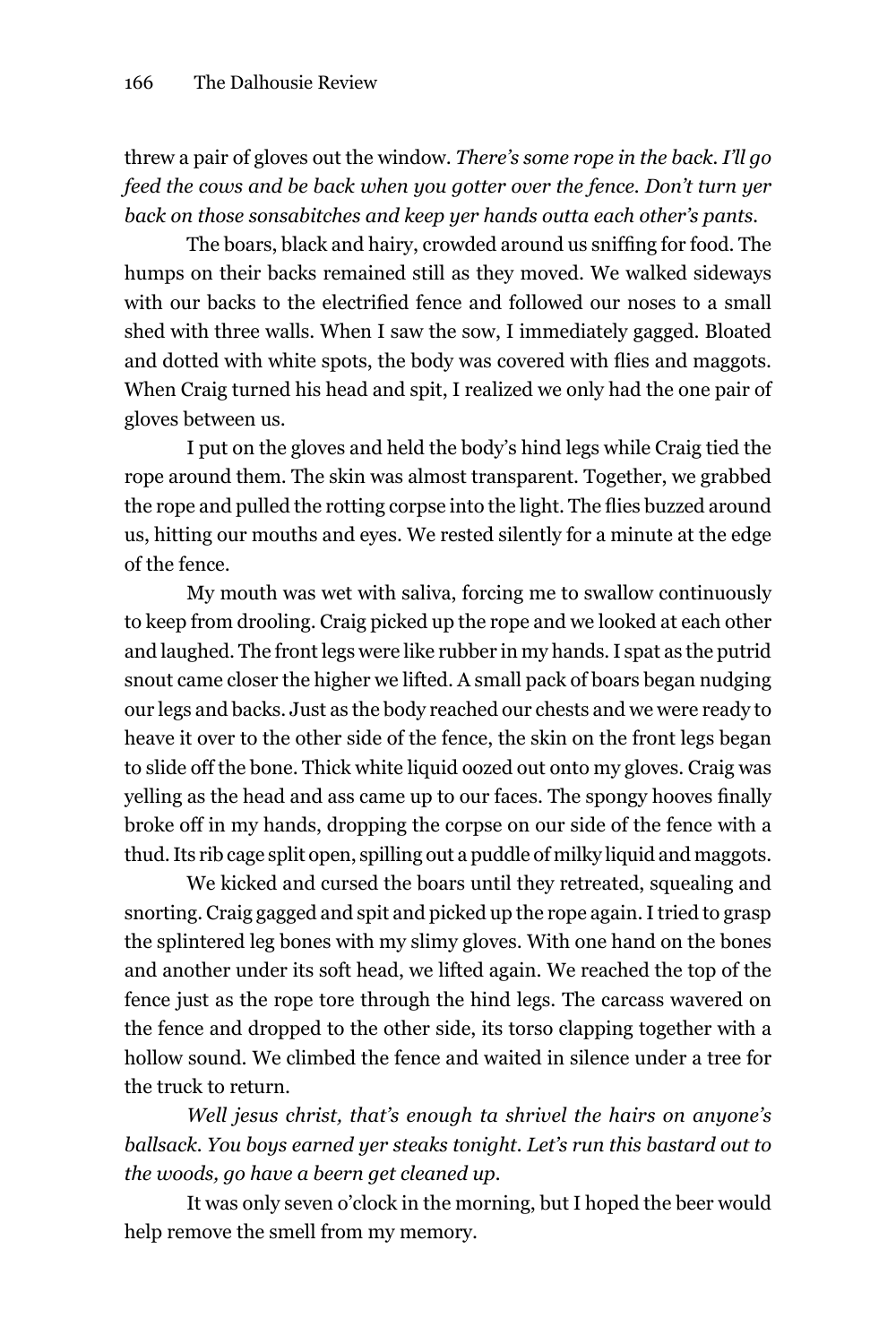threw a pair of gloves out the window. *There's some rope in the back. I'll go feed the cows and be back when you gotter over the fence. Don't turn yer back on those sonsabitches and keep yer hands outta each other's pants.*

The boars, black and hairy, crowded around us sniffing for food. The humps on their backs remained still as they moved. We walked sideways with our backs to the electrified fence and followed our noses to a small shed with three walls. When I saw the sow, I immediately gagged. Bloated and dotted with white spots, the body was covered with flies and maggots. When Craig turned his head and spit, I realized we only had the one pair of gloves between us.

I put on the gloves and held the body's hind legs while Craig tied the rope around them. The skin was almost transparent. Together, we grabbed the rope and pulled the rotting corpse into the light. The flies buzzed around us, hitting our mouths and eyes. We rested silently for a minute at the edge of the fence.

my mouth was wet with saliva, forcing me to swallow continuously to keep from drooling. Craig picked up the rope and we looked at each other and laughed. The front legs were like rubber in my hands. I spat as the putrid snout came closer the higher we lifted. A small pack of boars began nudging our legs and backs. Just as the body reached our chests and we were ready to heave it over to the other side of the fence, the skin on the front legs began to slide off the bone. Thick white liquid oozed out onto my gloves. Craig was yelling as the head and ass came up to our faces. The spongy hooves finally broke off in my hands, dropping the corpse on our side of the fence with a thud. Its rib cage split open, spilling out a puddle of milky liquid and maggots.

We kicked and cursed the boars until they retreated, squealing and snorting. Craig gagged and spit and picked up the rope again. I tried to grasp the splintered leg bones with my slimy gloves. With one hand on the bones and another under its soft head, we lifted again. We reached the top of the fence just as the rope tore through the hind legs. The carcass wavered on the fence and dropped to the other side, its torso clapping together with a hollow sound. We climbed the fence and waited in silence under a tree for the truck to return.

*Well jesus christ, that's enough ta shrivel the hairs on anyone's ballsack. You boys earned yer steaks tonight. Let's run this bastard out to the woods, go have a beern get cleaned up.*

It was only seven o'clock in the morning, but I hoped the beer would help remove the smell from my memory.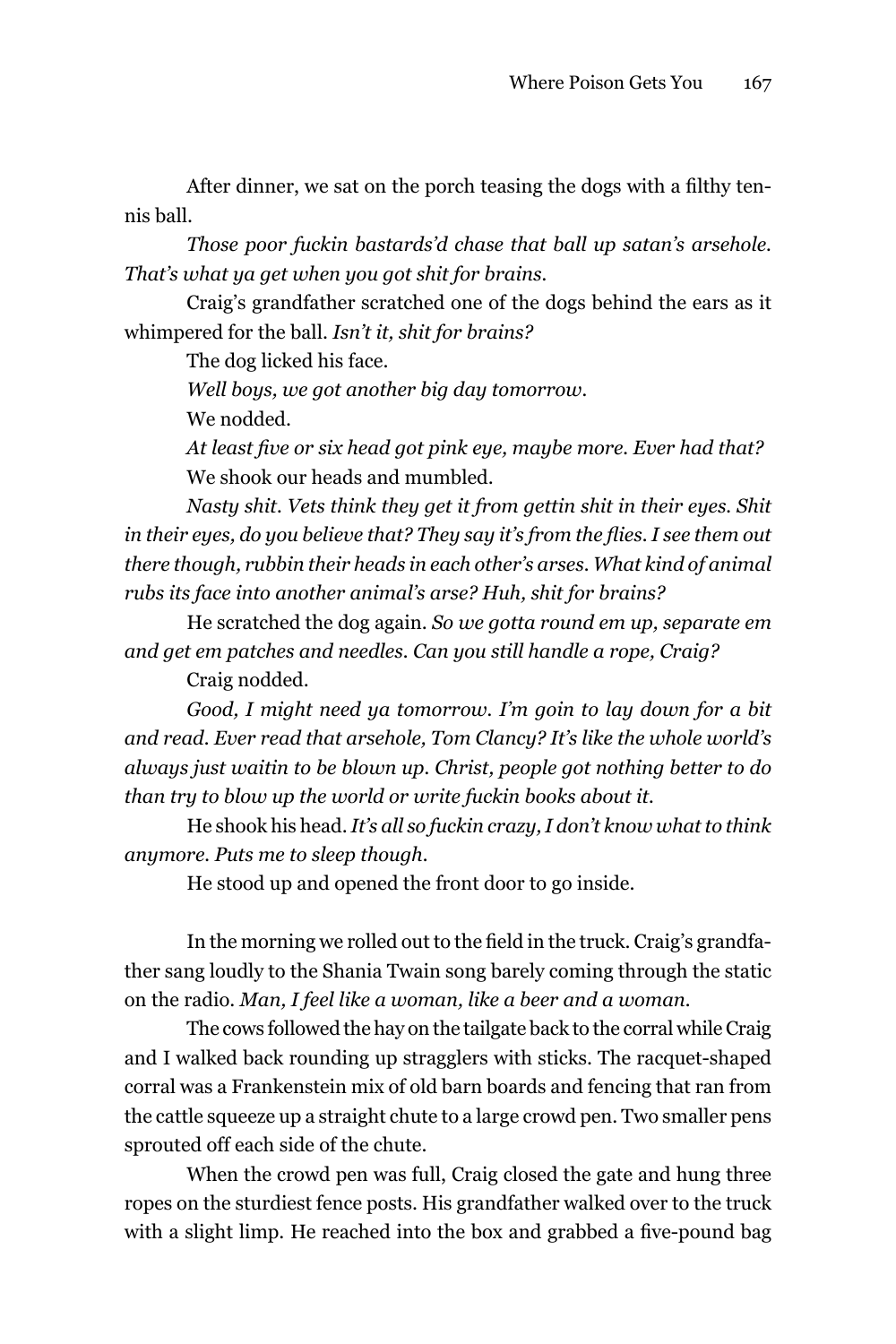After dinner, we sat on the porch teasing the dogs with a filthy tennis ball.

*Those poor fuckin bastards'd chase that ball up satan's arsehole. That's what ya get when you got shit for brains.*

Craig's grandfather scratched one of the dogs behind the ears as it whimpered for the ball. *Isn't it, shit for brains?*

The dog licked his face.

*Well boys, we got another big day tomorrow.*

We nodded.

*At least five or six head got pink eye, maybe more. Ever had that?* We shook our heads and mumbled.

*Nasty shit. Vets think they get it from gettin shit in their eyes. Shit in their eyes, do you believe that? They say it's from the flies. I see them out there though, rubbin their heads in each other's arses. What kind of animal rubs its face into another animal's arse? Huh, shit for brains?*

he scratched the dog again. *So we gotta round em up, separate em and get em patches and needles. Can you still handle a rope, Craig?* 

Craig nodded.

*Good, I might need ya tomorrow. I'm goin to lay down for a bit and read. Ever read that arsehole, Tom Clancy? It's like the whole world's always just waitin to be blown up. Christ, people got nothing better to do than try to blow up the world or write fuckin books about it.* 

he shook his head. *It's all so fuckin crazy, I don't know what to think anymore. Puts me to sleep though.*

he stood up and opened the front door to go inside.

In the morning we rolled out to the field in the truck. Craig's grandfather sang loudly to the Shania Twain song barely coming through the static on the radio. *Man, I feel like a woman, like a beer and a woman.*

The cows followed the hay on the tailgate back to the corral while Craig and I walked back rounding up stragglers with sticks. The racquet-shaped corral was a Frankenstein mix of old barn boards and fencing that ran from the cattle squeeze up a straight chute to a large crowd pen. Two smaller pens sprouted off each side of the chute.

When the crowd pen was full, Craig closed the gate and hung three ropes on the sturdiest fence posts. his grandfather walked over to the truck with a slight limp. He reached into the box and grabbed a five-pound bag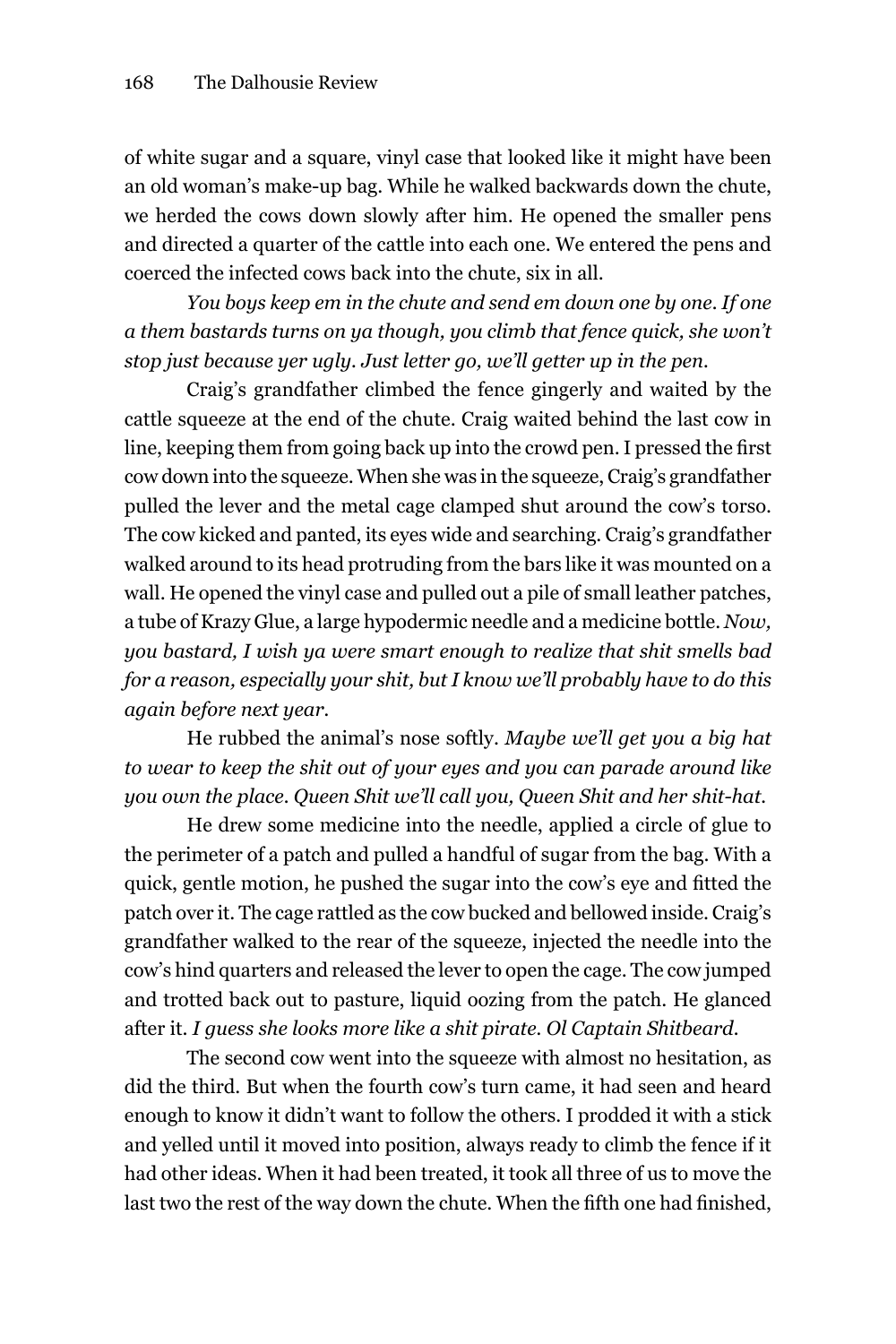of white sugar and a square, vinyl case that looked like it might have been an old woman's make-up bag. While he walked backwards down the chute, we herded the cows down slowly after him. he opened the smaller pens and directed a quarter of the cattle into each one. We entered the pens and coerced the infected cows back into the chute, six in all.

*You boys keep em in the chute and send em down one by one. If one a them bastards turns on ya though, you climb that fence quick, she won't stop just because yer ugly. Just letter go, we'll getter up in the pen.*

Craig's grandfather climbed the fence gingerly and waited by the cattle squeeze at the end of the chute. Craig waited behind the last cow in line, keeping them from going back up into the crowd pen. I pressed the first cow down into the squeeze. When she was in the squeeze, Craig's grandfather pulled the lever and the metal cage clamped shut around the cow's torso. The cow kicked and panted, its eyes wide and searching. Craig's grandfather walked around to its head protruding from the bars like it was mounted on a wall. he opened the vinyl case and pulled out a pile of small leather patches, a tube of Krazy glue, a large hypodermic needle and a medicine bottle. *Now, you bastard, I wish ya were smart enough to realize that shit smells bad for a reason, especially your shit, but I know we'll probably have to do this again before next year.* 

he rubbed the animal's nose softly. *Maybe we'll get you a big hat to wear to keep the shit out of your eyes and you can parade around like you own the place. Queen Shit we'll call you, Queen Shit and her shit-hat.*

he drew some medicine into the needle, applied a circle of glue to the perimeter of a patch and pulled a handful of sugar from the bag. With a quick, gentle motion, he pushed the sugar into the cow's eye and fitted the patch over it. The cage rattled as the cow bucked and bellowed inside. Craig's grandfather walked to the rear of the squeeze, injected the needle into the cow's hind quarters and released the lever to open the cage. The cow jumped and trotted back out to pasture, liquid oozing from the patch. he glanced after it. *I guess she looks more like a shit pirate. Ol Captain Shitbeard.*

The second cow went into the squeeze with almost no hesitation, as did the third. But when the fourth cow's turn came, it had seen and heard enough to know it didn't want to follow the others. I prodded it with a stick and yelled until it moved into position, always ready to climb the fence if it had other ideas. When it had been treated, it took all three of us to move the last two the rest of the way down the chute. When the fifth one had finished,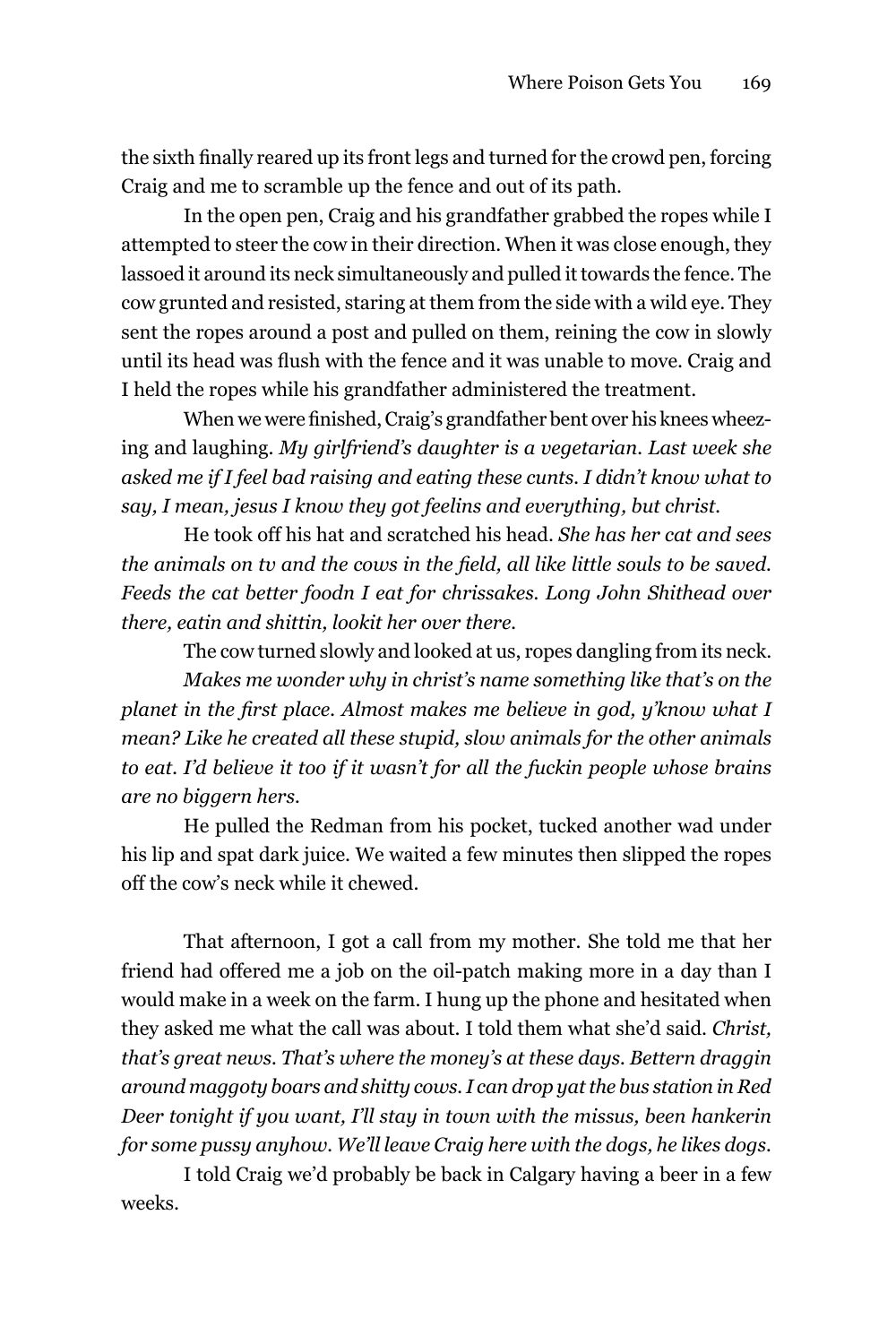the sixth finally reared up its front legs and turned for the crowd pen, forcing Craig and me to scramble up the fence and out of its path.

In the open pen, Craig and his grandfather grabbed the ropes while I attempted to steer the cow in their direction. When it was close enough, they lassoed it around its neck simultaneously and pulled it towards the fence. The cow grunted and resisted, staring at them from the side with a wild eye. They sent the ropes around a post and pulled on them, reining the cow in slowly until its head was flush with the fence and it was unable to move. Craig and I held the ropes while his grandfather administered the treatment.

When we were finished, Craig's grandfather bent over his knees wheezing and laughing. *My girlfriend's daughter is a vegetarian. Last week she asked me if I feel bad raising and eating these cunts. I didn't know what to say, I mean, jesus I know they got feelins and everything, but christ.*

he took off his hat and scratched his head. *She has her cat and sees the animals on tv and the cows in the field, all like little souls to be saved. Feeds the cat better foodn I eat for chrissakes. Long John Shithead over there, eatin and shittin, lookit her over there.*

The cow turned slowly and looked at us, ropes dangling from its neck.

*Makes me wonder why in christ's name something like that's on the planet in the first place. Almost makes me believe in god, y'know what I mean? Like he created all these stupid, slow animals for the other animals to eat. I'd believe it too if it wasn't for all the fuckin people whose brains are no biggern hers.* 

he pulled the Redman from his pocket, tucked another wad under his lip and spat dark juice. We waited a few minutes then slipped the ropes off the cow's neck while it chewed.

That afternoon, I got a call from my mother. She told me that her friend had offered me a job on the oil-patch making more in a day than I would make in a week on the farm. I hung up the phone and hesitated when they asked me what the call was about. I told them what she'd said. *Christ, that's great news. That's where the money's at these days. Bettern draggin around maggoty boars and shitty cows. I can drop yat the bus station in Red Deer tonight if you want, I'll stay in town with the missus, been hankerin for some pussy anyhow. We'll leave Craig here with the dogs, he likes dogs.* 

I told Craig we'd probably be back in Calgary having a beer in a few weeks.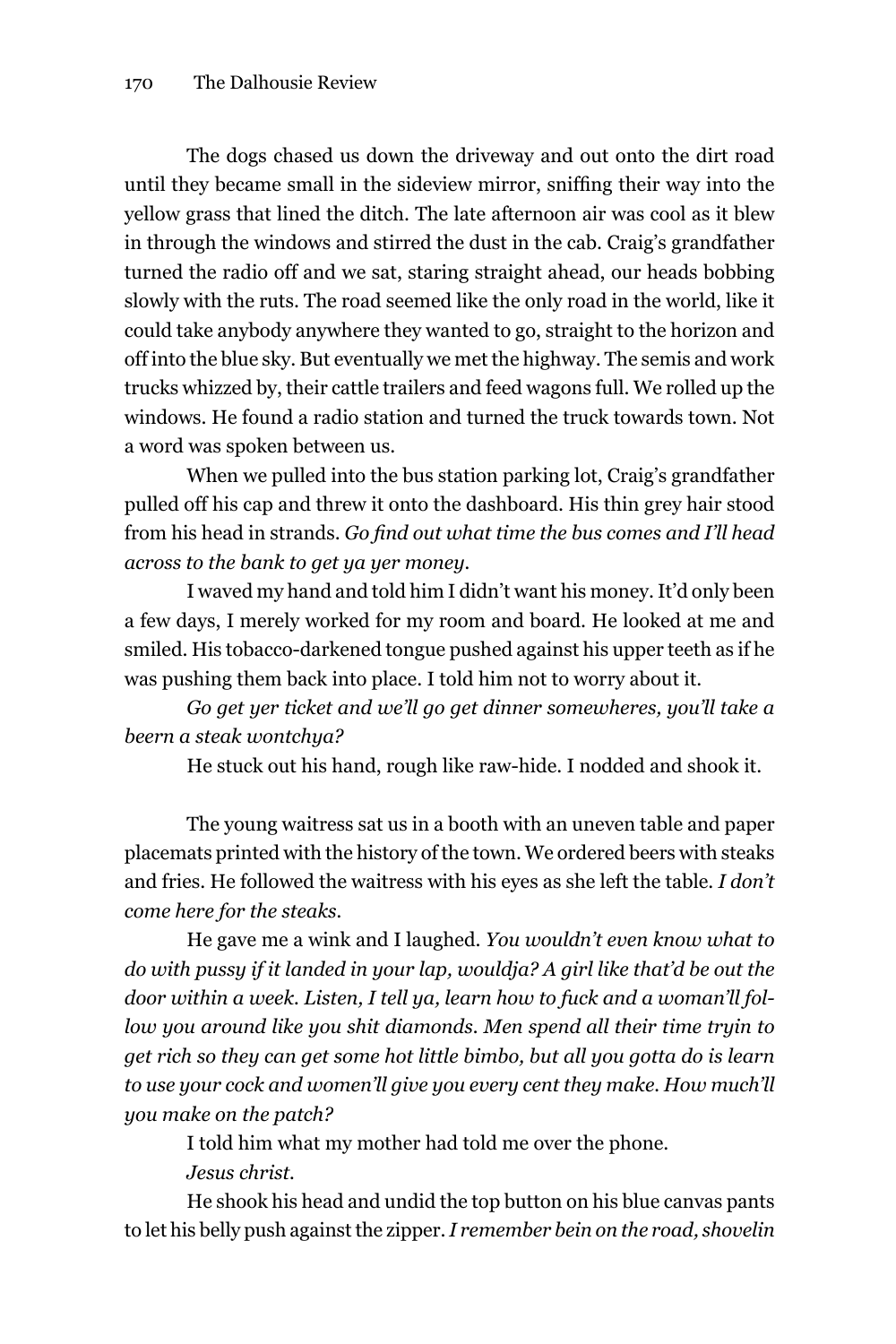The dogs chased us down the driveway and out onto the dirt road until they became small in the sideview mirror, sniffing their way into the yellow grass that lined the ditch. The late afternoon air was cool as it blew in through the windows and stirred the dust in the cab. Craig's grandfather turned the radio off and we sat, staring straight ahead, our heads bobbing slowly with the ruts. The road seemed like the only road in the world, like it could take anybody anywhere they wanted to go, straight to the horizon and off into the blue sky. But eventually we met the highway. The semis and work trucks whizzed by, their cattle trailers and feed wagons full. We rolled up the windows. He found a radio station and turned the truck towards town. Not a word was spoken between us.

When we pulled into the bus station parking lot, Craig's grandfather pulled off his cap and threw it onto the dashboard. his thin grey hair stood from his head in strands. *Go find out what time the bus comes and I'll head across to the bank to get ya yer money.*

I waved my hand and told him I didn't want his money. It'd only been a few days, I merely worked for my room and board. he looked at me and smiled. his tobacco-darkened tongue pushed against his upper teeth as if he was pushing them back into place. I told him not to worry about it.

*Go get yer ticket and we'll go get dinner somewheres, you'll take a beern a steak wontchya?* 

he stuck out his hand, rough like raw-hide. I nodded and shook it.

The young waitress sat us in a booth with an uneven table and paper placemats printed with the history of the town. We ordered beers with steaks and fries. he followed the waitress with his eyes as she left the table. *I don't come here for the steaks.*

he gave me a wink and I laughed. *You wouldn't even know what to do with pussy if it landed in your lap, wouldja? A girl like that'd be out the door within a week. Listen, I tell ya, learn how to fuck and a woman'll follow you around like you shit diamonds. Men spend all their time tryin to get rich so they can get some hot little bimbo, but all you gotta do is learn to use your cock and women'll give you every cent they make. How much'll you make on the patch?*

I told him what my mother had told me over the phone.

*Jesus christ.* 

he shook his head and undid the top button on his blue canvas pants to let his belly push against the zipper. *I remember bein on the road, shovelin*